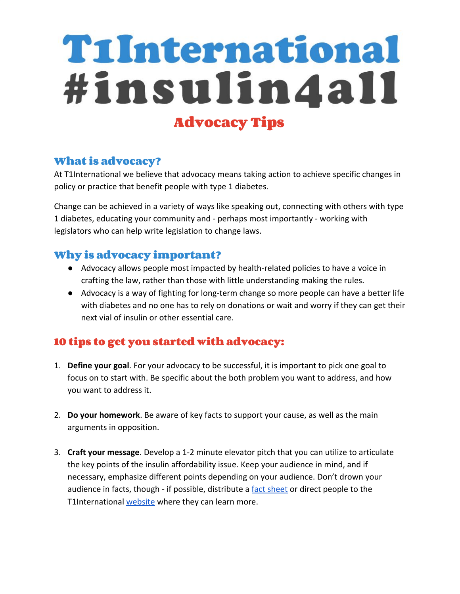## TiInternational #insulin4all **Advocacy Tips**

## **What is advocacy?**

At T1International we believe that advocacy means taking action to achieve specific changes in policy or practice that benefit people with type 1 diabetes.

Change can be achieved in a variety of ways like speaking out, connecting with others with type 1 diabetes, educating your community and - perhaps most importantly - working with legislators who can help write legislation to change laws.

## **Why is advocacy important?**

- Advocacy allows people most impacted by health-related policies to have a voice in crafting the law, rather than those with little understanding making the rules.
- Advocacy is a way of fighting for long-term change so more people can have a better life with diabetes and no one has to rely on donations or wait and worry if they can get their next vial of insulin or other essential care.

## **10 tips to get you started with advocacy:**

- 1. **Define your goal**. For your advocacy to be successful, it is important to pick one goal to focus on to start with. Be specific about the both problem you want to address, and how you want to address it.
- 2. **Do your homework**. Be aware of key facts to support your cause, as well as the main arguments in opposition.
- 3. **Craft your message**. Develop a 1-2 minute elevator pitch that you can utilize to articulate the key points of the insulin affordability issue. Keep your audience in mind, and if necessary, emphasize different points depending on your audience. Don't drown your audience in facts, though - if possible, distribute a [fact sheet](https://www.t1international.com/media/assets/file/insulin4all_Talking_Points.pdf) or direct people to the T1International [website](http://www.t1international.com/usa) where they can learn more.